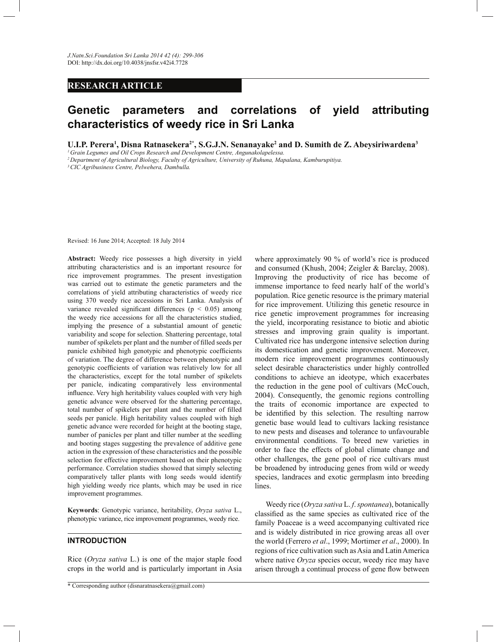## **RESEARCH ARTICLE**

# **Genetic parameters and correlations of yield attributing characteristics of weedy rice in Sri Lanka**

**U.I.P. Perera<sup>1</sup> , Disna Ratnasekera2\*, S.G.J.N. Senanayake<sup>2</sup> and D. Sumith de Z. Abeysiriwardena<sup>3</sup>**

*<sup>1</sup>Grain Legumes and Oil Crops Research and Development Centre, Angunakolapelessa.*

*<sup>2</sup>Department of Agricultural Biology, Faculty of Agriculture, University of Ruhuna, Mapalana, Kamburupitiya.*

*<sup>3</sup>CIC Agribusiness Centre, Pelwehera, Dambulla.*

Revised: 16 June 2014; Accepted: 18 July 2014

**Abstract:** Weedy rice possesses a high diversity in yield attributing characteristics and is an important resource for rice improvement programmes. The present investigation was carried out to estimate the genetic parameters and the correlations of yield attributing characteristics of weedy rice using 370 weedy rice accessions in Sri Lanka. Analysis of variance revealed significant differences ( $p < 0.05$ ) among the weedy rice accessions for all the characteristics studied, implying the presence of a substantial amount of genetic variability and scope for selection. Shattering percentage, total number of spikelets per plant and the number of filled seeds per panicle exhibited high genotypic and phenotypic coefficients of variation. The degree of difference between phenotypic and genotypic coefficients of variation was relatively low for all the characteristics, except for the total number of spikelets per panicle, indicating comparatively less environmental influence. Very high heritability values coupled with very high genetic advance were observed for the shattering percentage, total number of spikelets per plant and the number of filled seeds per panicle. High heritability values coupled with high genetic advance were recorded for height at the booting stage, number of panicles per plant and tiller number at the seedling and booting stages suggesting the prevalence of additive gene action in the expression of these characteristics and the possible selection for effective improvement based on their phenotypic performance. Correlation studies showed that simply selecting comparatively taller plants with long seeds would identify high yielding weedy rice plants, which may be used in rice improvement programmes.

**Keywords**: Genotypic variance, heritability, *Oryza sativa* L., phenotypic variance, rice improvement programmes, weedy rice.

## **INTRODUCTION**

Rice (*Oryza sativa* L.) is one of the major staple food crops in the world and is particularly important in Asia

\* Corresponding author (disnaratnasekera@gmail.com)

where approximately 90 % of world's rice is produced and consumed (Khush, 2004; Zeigler & Barclay, 2008). Improving the productivity of rice has become of immense importance to feed nearly half of the world's population. Rice genetic resource is the primary material for rice improvement. Utilizing this genetic resource in rice genetic improvement programmes for increasing the yield, incorporating resistance to biotic and abiotic stresses and improving grain quality is important. Cultivated rice has undergone intensive selection during its domestication and genetic improvement. Moreover, modern rice improvement programmes continuously select desirable characteristics under highly controlled conditions to achieve an ideotype, which exacerbates the reduction in the gene pool of cultivars (McCouch, 2004). Consequently, the genomic regions controlling the traits of economic importance are expected to be identified by this selection. The resulting narrow genetic base would lead to cultivars lacking resistance to new pests and diseases and tolerance to unfavourable environmental conditions. To breed new varieties in order to face the effects of global climate change and other challenges, the gene pool of rice cultivars must be broadened by introducing genes from wild or weedy species, landraces and exotic germplasm into breeding lines.

 Weedy rice (*Oryza sativa* L. *f*. *spontanea*), botanically classified as the same species as cultivated rice of the family Poaceae is a weed accompanying cultivated rice and is widely distributed in rice growing areas all over the world (Ferrero *et al*., 1999; Mortimer *et al*., 2000). In regions of rice cultivation such as Asia and Latin America where native *Oryza* species occur, weedy rice may have arisen through a continual process of gene flow between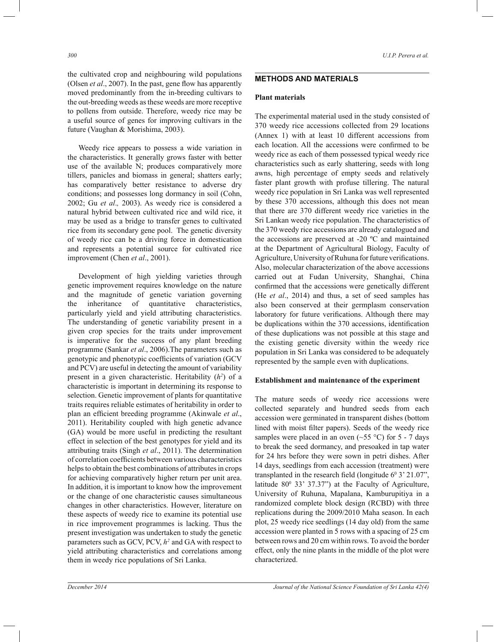the cultivated crop and neighbouring wild populations (Olsen *et al*., 2007). In the past, gene flow has apparently moved predominantly from the in-breeding cultivars to the out-breeding weeds as these weeds are more receptive to pollens from outside. Therefore, weedy rice may be a useful source of genes for improving cultivars in the future (Vaughan & Morishima, 2003).

 Weedy rice appears to possess a wide variation in the characteristics. It generally grows faster with better use of the available N; produces comparatively more tillers, panicles and biomass in general; shatters early; has comparatively better resistance to adverse dry conditions; and possesses long dormancy in soil (Cohn, 2002; Gu *et al*.*,* 2003). As weedy rice is considered a natural hybrid between cultivated rice and wild rice, it may be used as a bridge to transfer genes to cultivated rice from its secondary gene pool. The genetic diversity of weedy rice can be a driving force in domestication and represents a potential source for cultivated rice improvement (Chen *et al*., 2001).

 Development of high yielding varieties through genetic improvement requires knowledge on the nature and the magnitude of genetic variation governing the inheritance of quantitative characteristics, particularly yield and yield attributing characteristics. The understanding of genetic variability present in a given crop species for the traits under improvement is imperative for the success of any plant breeding programme (Sankar *et al*., 2006).The parameters such as genotypic and phenotypic coefficients of variation (GCV and PCV) are useful in detecting the amount of variability present in a given characteristic. Heritability  $(h^2)$  of a characteristic is important in determining its response to selection. Genetic improvement of plants for quantitative traits requires reliable estimates of heritability in order to plan an efficient breeding programme (Akinwale *et al*., 2011). Heritability coupled with high genetic advance (GA) would be more useful in predicting the resultant effect in selection of the best genotypes for yield and its attributing traits (Singh *et al*., 2011). The determination of correlation coefficients between various characteristics helps to obtain the best combinations of attributes in crops for achieving comparatively higher return per unit area. In addition, it is important to know how the improvement or the change of one characteristic causes simultaneous changes in other characteristics. However, literature on these aspects of weedy rice to examine its potential use in rice improvement programmes is lacking. Thus the present investigation was undertaken to study the genetic parameters such as GCV, PCV, *h <sup>2</sup>*and GA with respect to yield attributing characteristics and correlations among them in weedy rice populations of Sri Lanka.

## **METHODS AND MATERIALS**

#### **Plant materials**

The experimental material used in the study consisted of 370 weedy rice accessions collected from 29 locations (Annex 1) with at least 10 different accessions from each location. All the accessions were confirmed to be weedy rice as each of them possessed typical weedy rice characteristics such as early shattering, seeds with long awns, high percentage of empty seeds and relatively faster plant growth with profuse tillering. The natural weedy rice population in Sri Lanka was well represented by these 370 accessions, although this does not mean that there are 370 different weedy rice varieties in the Sri Lankan weedy rice population. The characteristics of the 370 weedy rice accessions are already catalogued and the accessions are preserved at -20 ºC and maintained at the Department of Agricultural Biology, Faculty of Agriculture, University of Ruhuna for future verifications. Also, molecular characterization of the above accessions carried out at Fudan University, Shanghai, China confirmed that the accessions were genetically different (He *et al*., 2014) and thus, a set of seed samples has also been conserved at their germplasm conservation laboratory for future verifications. Although there may be duplications within the 370 accessions, identification of these duplications was not possible at this stage and the existing genetic diversity within the weedy rice population in Sri Lanka was considered to be adequately represented by the sample even with duplications.

#### **Establishment and maintenance of the experiment**

The mature seeds of weedy rice accessions were collected separately and hundred seeds from each accession were germinated in transparent dishes (bottom lined with moist filter papers). Seeds of the weedy rice samples were placed in an oven  $(\sim 55 \text{ °C})$  for 5 - 7 days to break the seed dormancy, and presoaked in tap water for 24 hrs before they were sown in petri dishes. After 14 days, seedlings from each accession (treatment) were transplanted in the research field (longitude  $6^{\circ}$  3' 21.07", latitude  $80^{\circ}$  33' 37.37") at the Faculty of Agriculture, University of Ruhuna, Mapalana, Kamburupitiya in a randomized complete block design (RCBD) with three replications during the 2009/2010 Maha season. In each plot, 25 weedy rice seedlings (14 day old) from the same accession were planted in 5 rows with a spacing of 25 cm between rows and 20 cm within rows. To avoid the border effect, only the nine plants in the middle of the plot were characterized.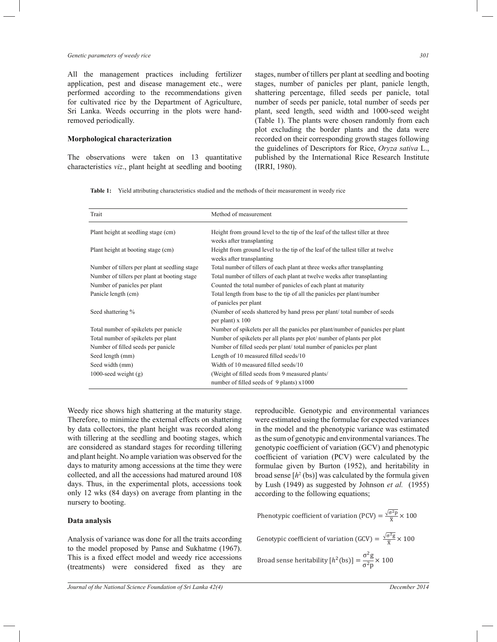#### *Genetic parameters of weedy rice 301*

All the management practices including fertilizer application, pest and disease management etc., were performed according to the recommendations given for cultivated rice by the Department of Agriculture, Sri Lanka. Weeds occurring in the plots were handremoved periodically.

## **Morphological characterization**

The observations were taken on 13 quantitative characteristics *viz*., plant height at seedling and booting stages, number of tillers per plant at seedling and booting stages, number of panicles per plant, panicle length, shattering percentage, filled seeds per panicle, total number of seeds per panicle, total number of seeds per plant, seed length, seed width and 1000-seed weight (Table 1). The plants were chosen randomly from each plot excluding the border plants and the data were recorded on their corresponding growth stages following the guidelines of Descriptors for Rice, *Oryza sativa* L., published by the International Rice Research Institute (IRRI, 1980).

**Table 1:** Yield attributing characteristics studied and the methods of their measurement in weedy rice

| Trait                                         | Method of measurement                                                                                        |
|-----------------------------------------------|--------------------------------------------------------------------------------------------------------------|
| Plant height at seedling stage (cm)           | Height from ground level to the tip of the leaf of the tallest tiller at three<br>weeks after transplanting  |
| Plant height at booting stage (cm)            | Height from ground level to the tip of the leaf of the tallest tiller at twelve<br>weeks after transplanting |
| Number of tillers per plant at seedling stage | Total number of tillers of each plant at three weeks after transplanting                                     |
| Number of tillers per plant at booting stage  | Total number of tillers of each plant at twelve weeks after transplanting                                    |
| Number of panicles per plant                  | Counted the total number of panicles of each plant at maturity                                               |
| Panicle length (cm)                           | Total length from base to the tip of all the panicles per plant/number                                       |
|                                               | of panicles per plant                                                                                        |
| Seed shattering %                             | (Number of seeds shattered by hand press per plant/total number of seeds)<br>per plant) x 100                |
| Total number of spikelets per panicle         | Number of spikelets per all the panicles per plant/number of panicles per plant                              |
| Total number of spikelets per plant           | Number of spikelets per all plants per plot/number of plants per plot                                        |
| Number of filled seeds per panicle            | Number of filled seeds per plant/total number of panicles per plant                                          |
| Seed length (mm)                              | Length of 10 measured filled seeds/10                                                                        |
| Seed width (mm)                               | Width of 10 measured filled seeds/10                                                                         |
| 1000-seed weight $(g)$                        | (Weight of filled seeds from 9 measured plants/                                                              |
|                                               | number of filled seeds of 9 plants) x1000                                                                    |

Weedy rice shows high shattering at the maturity stage. Therefore, to minimize the external effects on shattering by data collectors, the plant height was recorded along with tillering at the seedling and booting stages, which are considered as standard stages for recording tillering and plant height. No ample variation was observed for the days to maturity among accessions at the time they were collected, and all the accessions had matured around 108 days. Thus, in the experimental plots, accessions took only 12 wks (84 days) on average from planting in the nursery to booting.

#### **Data analysis**

Analysis of variance was done for all the traits according to the model proposed by Panse and Sukhatme (1967). This is a fixed effect model and weedy rice accessions (treatments) were considered fixed as they are

genotypic coefficient of variation (GCV) and phenotypic coefficient of variation (PCV) were calculated by the formulae given by Burton (1952), and heritability in broad sense  $[h^2(\text{bs})]$  was calculated by the formula given by Lush (1949) as suggested by Johnson *et al.* (1955) according to the following equations;  $\sqrt{\sigma^2 n}$  $\sim$ 

Phenotypic coefficient of variation (PCV) = 
$$
\frac{\sqrt{3} \times 100}{\frac{1}{\overline{X}}} \times 100
$$
  
Genotypic coefficient of variation (GCV) =  $\frac{\sqrt{\sigma^2 g}}{\overline{X}} \times 100$ 

reproducible. Genotypic and environmental variances were estimated using the formulae for expected variances in the model and the phenotypic variance was estimated as the sum of genotypic and environmental variances. The

**Broad sense heritability** 
$$
[h^2(\text{bs})] = \frac{\sigma^2 g}{\sigma^2 p} \times 100
$$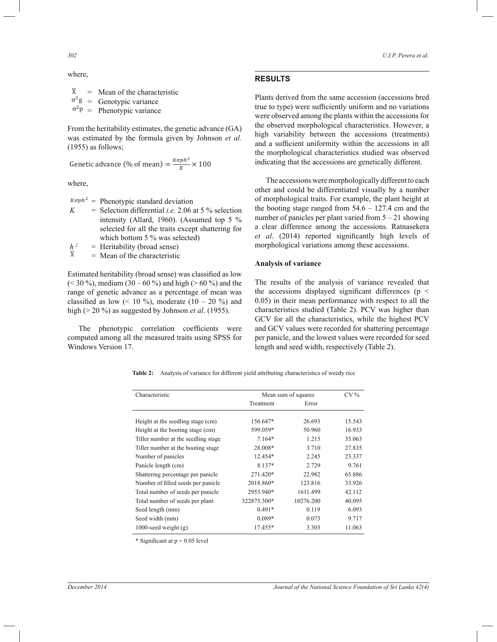*302 U.I.P. Perera et al.*

#### where,

 $\overline{X}$  = Mean of the characteristic  $\sigma^2 g =$ Genotypic variance

 $\sigma^2 p =$ Phenotypic variance

From the heritability estimates, the genetic advance (GA) was estimated by the formula given by Johnson *et al.*  (1955) as follows;

Genetic advance (% of mean) =  $\frac{K\sigma p h^2}{g}$  $\frac{p}{\overline{X}} \times 100$ 

where,

 $^{K\sigma ph^2}$  = Phenotypic standard deviation

 $K =$  Selection differential *i.e.* 2.06 at 5 % selection intensity (Allard, 1960). (Assumed top 5 % selected for all the traits except shattering for which bottom 5 % was selected)

 $\frac{h^2}{\overline{x}}$ = Heritability (broad sense)

= Mean of the characteristic

Estimated heritability (broad sense) was classified as low  $(< 30\%$ ), medium  $(30 - 60\%)$  and high  $(> 60\%)$  and the range of genetic advance as a percentage of mean was classified as low  $(10\frac{9}{9})$ , moderate  $(10 - 20\frac{9}{9})$  and high (> 20 %) as suggested by Johnson *et al*. (1955).

 The phenotypic correlation coefficients were computed among all the measured traits using SPSS for Windows Version 17.

## **RESULTS**

Plants derived from the same accession (accessions bred true to type) were sufficiently uniform and no variations were observed among the plants within the accessions for the observed morphological characteristics. However, a high variability between the accessions (treatments) and a sufficient uniformity within the accessions in all the morphological characteristics studied was observed indicating that the accessions are genetically different.

 The accessions were morphologically different to each other and could be differentiated visually by a number of morphological traits. For example, the plant height at the booting stage ranged from  $54.6 - 127.4$  cm and the number of panicles per plant varied from 5 – 21 showing a clear difference among the accessions. Ratnasekera *et al*. (2014) reported significantly high levels of morphological variations among these accessions.

## **Analysis of variance**

The results of the analysis of variance revealed that the accessions displayed significant differences ( $p <$ 0.05) in their mean performance with respect to all the characteristics studied (Table 2). PCV was higher than GCV for all the characteristics, while the highest PCV and GCV values were recorded for shattering percentage per panicle, and the lowest values were recorded for seed length and seed width, respectively (Table 2).

**Table 2:** Analysis of variance for different yield attributing characteristics of weedy rice

| Characteristic                      | Mean sum of squares | $CV\%$    |        |
|-------------------------------------|---------------------|-----------|--------|
|                                     | Treatment           | Error     |        |
|                                     |                     |           |        |
| Height at the seedling stage (cm)   | 156.647*            | 26.693    | 15.543 |
| Height at the booting stage (cm)    | 599.059*            | 50.960    | 16.933 |
| Tiller number at the seedling stage | $7.164*$            | 1.215     | 35.063 |
| Tiller number at the booting stage  | 28.008*             | 3.710     | 27.835 |
| Number of panicles                  | 12.454*             | 2.245     | 23.337 |
| Panicle length (cm)                 | 8.137*              | 2.729     | 9.761  |
| Shattering percentage per panicle   | 271.420*            | 22.982    | 65.886 |
| Number of filled seeds per panicle  | 2018.860*           | 123.816   | 33.926 |
| Total number of seeds per panicle   | 2953.940*           | 1611.499  | 42.112 |
| Total number of seeds per plant     | 322875.300*         | 10276.200 | 40.095 |
| Seed length (mm)                    | $0.491*$            | 0.119     | 6.093  |
| Seed width (mm)                     | $0.089*$            | 0.073     | 9.717  |
| 1000-seed weight $(g)$              | 17.455*             | 3.303     | 11.063 |

\* Significant at  $p = 0.05$  level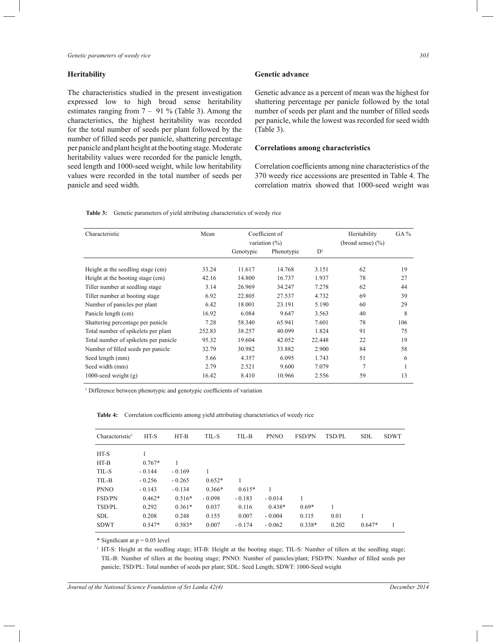#### **Heritability**

The characteristics studied in the present investigation expressed low to high broad sense heritability estimates ranging from 7 – 91 % (Table 3). Among the characteristics, the highest heritability was recorded for the total number of seeds per plant followed by the number of filled seeds per panicle, shattering percentage per panicle and plant height at the booting stage. Moderate heritability values were recorded for the panicle length, seed length and 1000-seed weight, while low heritability values were recorded in the total number of seeds per panicle and seed width.

#### **Genetic advance**

Genetic advance as a percent of mean was the highest for shattering percentage per panicle followed by the total number of seeds per plant and the number of filled seeds per panicle, while the lowest was recorded for seed width (Table 3).

## **Correlations among characteristics**

Correlation coefficients among nine characteristics of the 370 weedy rice accessions are presented in Table 4. The correlation matrix showed that 1000-seed weight was

| <b>Table 3:</b> | Genetic parameters of yield attributing characteristics of weedy rice |  |  |  |  |  |
|-----------------|-----------------------------------------------------------------------|--|--|--|--|--|
|-----------------|-----------------------------------------------------------------------|--|--|--|--|--|

| Characteristic                        | Mean   |           | Coefficient of<br>variation $(\%)$ | Heritability<br>(broad sense) $(\% )$ | $GA\%$         |     |
|---------------------------------------|--------|-----------|------------------------------------|---------------------------------------|----------------|-----|
|                                       |        | Genotypic | Phenotypic                         | D <sup>1</sup>                        |                |     |
| Height at the seedling stage (cm)     | 33.24  | 11.617    | 14.768                             | 3.151                                 | 62             | 19  |
| Height at the booting stage (cm)      | 42.16  | 14.800    | 16.737                             | 1.937                                 | 78             | 27  |
| Tiller number at seedling stage       | 3.14   | 26.969    | 34.247                             | 7.278                                 | 62             | 44  |
| Tiller number at booting stage        | 6.92   | 22.805    | 27.537                             | 4.732                                 | 69             | 39  |
| Number of panicles per plant          | 6.42   | 18.001    | 23.191                             | 5.190                                 | 60             | 29  |
| Panicle length (cm)                   | 16.92  | 6.084     | 9.647                              | 3.563                                 | 40             | 8   |
| Shattering percentage per panicle     | 7.28   | 58.340    | 65.941                             | 7.601                                 | 78             | 106 |
| Total number of spikelets per plant   | 252.83 | 38.257    | 40.099                             | 1.824                                 | 91             | 75  |
| Total number of spikelets per panicle | 95.32  | 19.604    | 42.052                             | 22.448                                | 22             | 19  |
| Number of filled seeds per panicle    | 32.79  | 30.982    | 33.882                             | 2.900                                 | 84             | 58  |
| Seed length (mm)                      | 5.66   | 4.357     | 6.095                              | 1.743                                 | 51             | 6   |
| Seed width (mm)                       | 2.79   | 2.521     | 9.600                              | 7.079                                 | $\overline{7}$ | 1   |
| 1000-seed weight $(g)$                | 16.42  | 8.410     | 10.966                             | 2.556                                 | 59             | 13  |

<sup>1</sup> Difference between phenotypic and genotypic coefficients of variation

| Characteristic <sup>1</sup> | HT-S     | $HT-B$   | TIL-S    | TIL-B    | <b>PNNO</b> | <b>FSD/PN</b> | TSD/PL | <b>SDL</b> | <b>SDWT</b> |
|-----------------------------|----------|----------|----------|----------|-------------|---------------|--------|------------|-------------|
| HT-S                        |          |          |          |          |             |               |        |            |             |
| $HT-B$                      | $0.767*$ |          |          |          |             |               |        |            |             |
| TIL-S                       | $-0.144$ | $-0.169$ |          |          |             |               |        |            |             |
| TIL-B                       | $-0.256$ | $-0.265$ | $0.652*$ |          |             |               |        |            |             |
| <b>PNNO</b>                 | $-0.143$ | $-0.134$ | $0.366*$ | $0.615*$ | 1           |               |        |            |             |
| FSD/PN                      | $0.462*$ | $0.516*$ | $-0.098$ | $-0.183$ | $-0.014$    |               |        |            |             |
| TSD/PL                      | 0.292    | $0.361*$ | 0.037    | 0.116    | $0.438*$    | $0.69*$       |        |            |             |
| <b>SDL</b>                  | 0.208    | 0.248    | 0.155    | 0.007    | $-0.004$    | 0.115         | 0.01   |            |             |
| <b>SDWT</b>                 | $0.547*$ | $0.583*$ | 0.007    | $-0.174$ | $-0.062$    | $0.338*$      | 0.202  | $0.647*$   |             |

**Table 4:** Correlation coefficients among yield attributing characteristics of weedy rice

\* Significant at  $p = 0.05$  level

1 HT-S: Height at the seedling stage; HT-B: Height at the booting stage; TIL-S: Number of tillers at the seedling stage; TIL-B: Number of tillers at the booting stage; PNNO: Number of panicles/plant; FSD/PN: Number of filled seeds per panicle; TSD/PL: Total number of seeds per plant; SDL: Seed Length; SDWT: 1000-Seed weight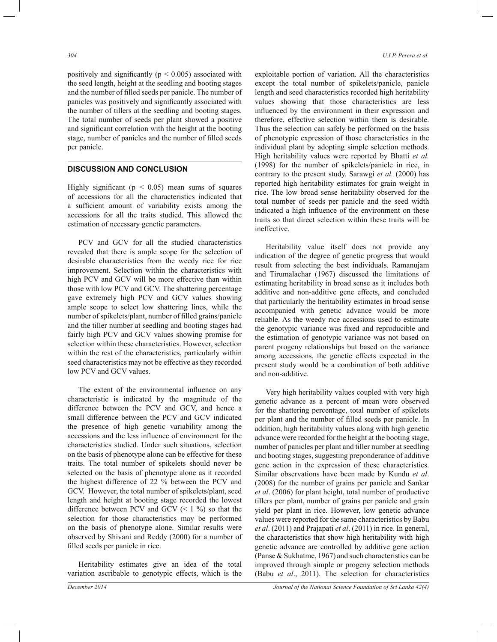positively and significantly ( $p < 0.005$ ) associated with the seed length, height at the seedling and booting stages and the number of filled seeds per panicle. The number of panicles was positively and significantly associated with the number of tillers at the seedling and booting stages. The total number of seeds per plant showed a positive and significant correlation with the height at the booting stage, number of panicles and the number of filled seeds per panicle.

#### **DISCUSSION AND CONCLUSION**

Highly significant ( $p < 0.05$ ) mean sums of squares of accessions for all the characteristics indicated that a sufficient amount of variability exists among the accessions for all the traits studied. This allowed the estimation of necessary genetic parameters.

 PCV and GCV for all the studied characteristics revealed that there is ample scope for the selection of desirable characteristics from the weedy rice for rice improvement. Selection within the characteristics with high PCV and GCV will be more effective than within those with low PCV and GCV. The shattering percentage gave extremely high PCV and GCV values showing ample scope to select low shattering lines, while the number of spikelets/plant, number of filled grains/panicle and the tiller number at seedling and booting stages had fairly high PCV and GCV values showing promise for selection within these characteristics. However, selection within the rest of the characteristics, particularly within seed characteristics may not be effective as they recorded low PCV and GCV values.

 The extent of the environmental influence on any characteristic is indicated by the magnitude of the difference between the PCV and GCV, and hence a small difference between the PCV and GCV indicated the presence of high genetic variability among the accessions and the less influence of environment for the characteristics studied. Under such situations, selection on the basis of phenotype alone can be effective for these traits. The total number of spikelets should never be selected on the basis of phenotype alone as it recorded the highest difference of 22 % between the PCV and GCV. However, the total number of spikelets/plant, seed length and height at booting stage recorded the lowest difference between PCV and GCV  $(1\%)$  so that the selection for those characteristics may be performed on the basis of phenotype alone. Similar results were observed by Shivani and Reddy (2000) for a number of filled seeds per panicle in rice.

 Heritability estimates give an idea of the total variation ascribable to genotypic effects, which is the exploitable portion of variation. All the characteristics except the total number of spikelets/panicle, panicle length and seed characteristics recorded high heritability values showing that those characteristics are less influenced by the environment in their expression and therefore, effective selection within them is desirable. Thus the selection can safely be performed on the basis of phenotypic expression of those characteristics in the individual plant by adopting simple selection methods. High heritability values were reported by Bhatti *et al.*  (1998) for the number of spikelets/panicle in rice, in contrary to the present study. Sarawgi *et al.* (2000) has reported high heritability estimates for grain weight in rice. The low broad sense heritability observed for the total number of seeds per panicle and the seed width indicated a high influence of the environment on these traits so that direct selection within these traits will be ineffective.

 Heritability value itself does not provide any indication of the degree of genetic progress that would result from selecting the best individuals. Ramanujam and Tirumalachar (1967) discussed the limitations of estimating heritability in broad sense as it includes both additive and non-additive gene effects, and concluded that particularly the heritability estimates in broad sense accompanied with genetic advance would be more reliable. As the weedy rice accessions used to estimate the genotypic variance was fixed and reproducible and the estimation of genotypic variance was not based on parent progeny relationships but based on the variance among accessions, the genetic effects expected in the present study would be a combination of both additive and non-additive.

 Very high heritability values coupled with very high genetic advance as a percent of mean were observed for the shattering percentage, total number of spikelets per plant and the number of filled seeds per panicle. In addition, high heritability values along with high genetic advance were recorded for the height at the booting stage, number of panicles per plant and tiller number at seedling and booting stages, suggesting preponderance of additive gene action in the expression of these characteristics. Similar observations have been made by Kundu *et al*. (2008) for the number of grains per panicle and Sankar *et al*. (2006) for plant height, total number of productive tillers per plant, number of grains per panicle and grain yield per plant in rice. However, low genetic advance values were reported for the same characteristics by Babu *et al*. (2011) and Prajapati *et al*. (2011) in rice. In general, the characteristics that show high heritability with high genetic advance are controlled by additive gene action (Panse & Sukhatme, 1967) and such characteristics can be improved through simple or progeny selection methods (Babu *et al*., 2011). The selection for characteristics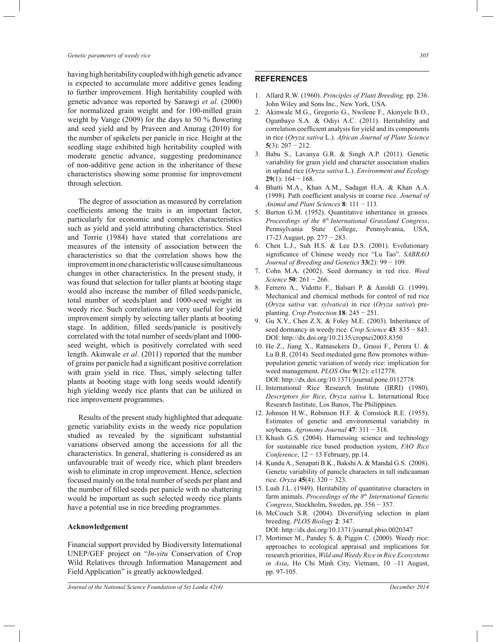#### *Genetic parameters of weedy rice 305*

having high heritability coupled with high genetic advance is expected to accumulate more additive genes leading to further improvement. High heritability coupled with genetic advance was reported by Sarawgi *et al*. (2000) for normalized grain weight and for 100-milled grain weight by Vange (2009) for the days to 50 % flowering and seed yield and by Praveen and Anurag (2010) for the number of spikelets per panicle in rice. Height at the seedling stage exhibited high heritability coupled with moderate genetic advance, suggesting predominance of non-additive gene action in the inheritance of these characteristics showing some promise for improvement through selection.

 The degree of association as measured by correlation coefficients among the traits is an important factor, particularly for economic and complex characteristics such as yield and yield attributing characteristics. Steel and Torrie (1984) have stated that correlations are measures of the intensity of association between the characteristics so that the correlation shows how the improvement in one characteristic will cause simultaneous changes in other characteristics. In the present study, it was found that selection for taller plants at booting stage would also increase the number of filled seeds/panicle, total number of seeds/plant and 1000-seed weight in weedy rice. Such correlations are very useful for yield improvement simply by selecting taller plants at booting stage. In addition, filled seeds/panicle is positively correlated with the total number of seeds/plant and 1000 seed weight, which is positively correlated with seed length. Akinwale *et al*. (2011) reported that the number of grains per panicle had a significant positive correlation with grain yield in rice. Thus, simply selecting taller plants at booting stage with long seeds would identify high yielding weedy rice plants that can be utilized in rice improvement programmes.

 Results of the present study highlighted that adequate genetic variability exists in the weedy rice population studied as revealed by the significant substantial variations observed among the accessions for all the characteristics. In general, shattering is considered as an unfavourable trait of weedy rice, which plant breeders wish to eliminate in crop improvement. Hence, selection focused mainly on the total number of seeds per plant and the number of filled seeds per panicle with no shattering would be important as such selected weedy rice plants have a potential use in rice breeding programmes.

#### **Acknowledgement**

Financial support provided by Biodiversity International UNEP/GEF project on "*In-situ* Conservation of Crop Wild Relatives through Information Management and Field Application" is greatly acknowledged.

## **REFERENCES**

- 1. Allard R.W. (1960). *Principles of Plant Breeding,* pp. 236. John Wiley and Sons Inc., New York, USA.
- 2. Akinwale M.G., Gregorio G., Nwilene F., Akinyele B.O., Ogunbayo S.A. & Odiyi A.C. (2011). Heritability and correlation coefficient analysis for yield and its components in rice (*Oryza sativa* L.). *African Journal of Plant Science* **5**(3): 207 − 212.
- 3. Babu S., Lavanya G.R. & Singh A.P. (2011). Genetic variability for grain yield and character association studies in upland rice (*Oryza sativa* L.). *Environment and Ecology*  **29**(1): 164 − 168.
- 4. Bhatti M.A., Khan A.M., Sadagat H.A. & Khan A.A. (1998). Path coefficient analysis in coarse rice. *Journal of Animal and Plant Sciences* **8**: 111 − 113.
- 5. Burton G.M. (1952). Quantitative inheritance in grasses. *Proceedings of the 6th International Grassland Congress*, Pennsylvania State College, Pennsylvania, USA, 17-23 August, pp. 277 − 283.
- 6. Chen L.J., Suh H.S. & Lee D.S. (2001). Evolutionary significance of Chinese weedy rice "Lu Tao". *SABRAO Journal of Breeding and Genetics* **33**(2): 99 − 109.
- 7. Cohn M.A. (2002). Seed dormancy in red rice. *Weed Science* **50**: 261 − 266.
- 8. Ferrero A., Vidotto F., Balsari P. & Airoldi G. (1999). Mechanical and chemical methods for control of red rice (*Oryza sativa* var. *sylvatica*) in rice (*Oryza sativa*) preplanting. *Crop Protection* **18**: 245 − 251.
- 9. Gu X.Y., Chen Z.X. & Foley M.E. (2003). Inheritance of seed dormancy in weedy rice. *Crop Science* **43**: 835 − 843. DOI: http://dx.doi.org/10.2135/cropsci2003.8350
- 10. He Z., Jiang X., Ratnasekera D., Grassi F., Perera U. & Lu B.R. (2014). Seed mediated gene flow promotes withinpopulation genetic variation of weedy rice: implication for weed management. *PLOS One* **9**(12): e112778. DOI: http://dx.doi.org/10.1371/journal.pone.0112778
- 11. International Rice Research Institute (IRRI) (1980). *Descriptors for Rice*, *Oryza sativa* L. International Rice Research Institute, Los Banos, The Philippines.
- 12. Johnson H.W., Robinson H.F. & Comstock R.E. (1955). Estimates of genetic and environmental variability in soybeans. *Agronomy Journal* **47**: 311 − 318.
- 13. Khush G.S. (2004). Harnessing science and technology for sustainable rice based production system, *FAO Rice Conference*, 12 − 13 February, pp.14.
- 14. Kundu A., Senapati B.K., Bakshi A. & Mandal G.S. (2008). Genetic variability of panicle characters in tall indicaaman rice. *Oryza* **45**(4): 320 − 323.
- 15. Lush J.L. (1949). Heritability of quantitative characters in farm animals. *Proceedings of the 8th International Genetic Congress*, Stockholm, Sweden, pp. 356 − 357.
- 16. McCouch S.R. (2004). Diversifying selection in plant breeding. *PLOS Biology* **2**: 347. DOI: http://dx.doi.org/10.1371/journal.pbio.0020347
- 17. Mortimer M., Pandey S. & Piggin C. (2000). Weedy rice: approaches to ecological appraisal and implications for research priorities, *Wild and Weedy Rice in Rice Ecosystems in Asia*, Ho Chi Minh City, Vietnam, 10 –11 August, pp. 97-105.